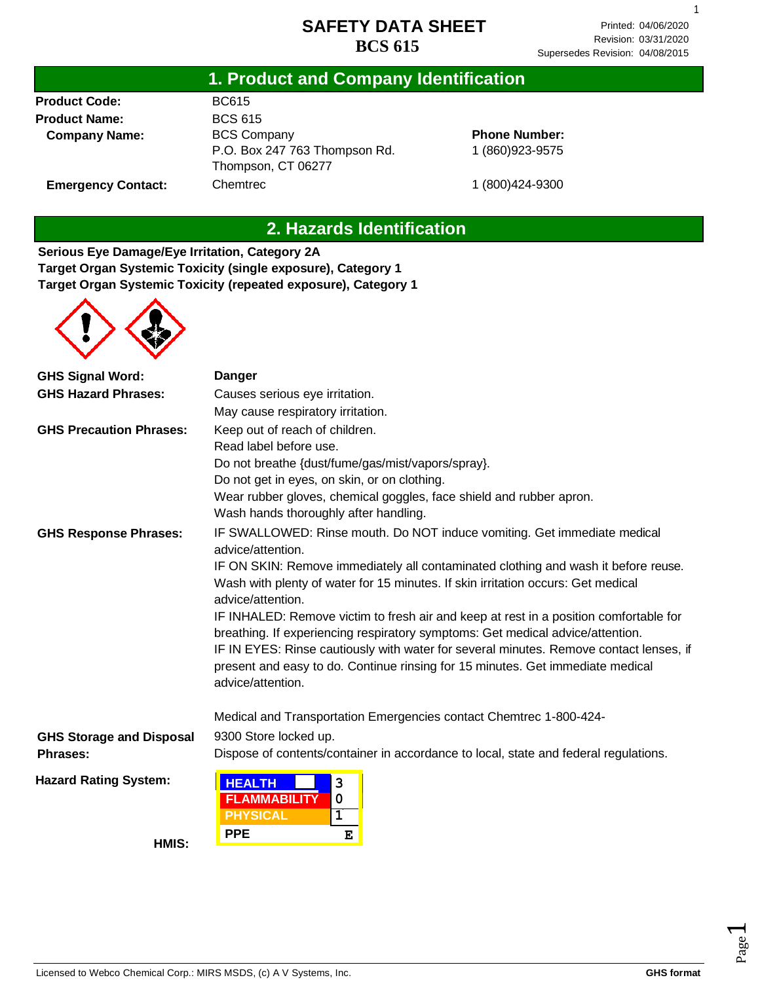1

### **1. Product and Company Identification**

**Product Code: Product Name: Company Name:**

**Emergency Contact:**

#### BC615 BCS 615 BCS Company P.O. Box 247 763 Thompson Rd. Thompson, CT 06277 **Chemtrec**

**Phone Number:** 1 (860)923-9575

1 (800)424-9300

### **2. Hazards Identification**

**Serious Eye Damage/Eye Irritation, Category 2A Target Organ Systemic Toxicity (single exposure), Category 1 Target Organ Systemic Toxicity (repeated exposure), Category 1**



| <b>GHS Hazard Phrases:</b><br>Causes serious eye irritation.<br>May cause respiratory irritation.<br>Keep out of reach of children.<br><b>GHS Precaution Phrases:</b><br>Read label before use.<br>Do not breathe {dust/fume/gas/mist/vapors/spray}.<br>Do not get in eyes, on skin, or on clothing.<br>Wear rubber gloves, chemical goggles, face shield and rubber apron.<br>Wash hands thoroughly after handling.<br>IF SWALLOWED: Rinse mouth. Do NOT induce vomiting. Get immediate medical<br><b>GHS Response Phrases:</b><br>advice/attention.<br>IF ON SKIN: Remove immediately all contaminated clothing and wash it before reuse.<br>Wash with plenty of water for 15 minutes. If skin irritation occurs: Get medical<br>advice/attention.<br>IF INHALED: Remove victim to fresh air and keep at rest in a position comfortable for<br>breathing. If experiencing respiratory symptoms: Get medical advice/attention. |  |  |  |
|---------------------------------------------------------------------------------------------------------------------------------------------------------------------------------------------------------------------------------------------------------------------------------------------------------------------------------------------------------------------------------------------------------------------------------------------------------------------------------------------------------------------------------------------------------------------------------------------------------------------------------------------------------------------------------------------------------------------------------------------------------------------------------------------------------------------------------------------------------------------------------------------------------------------------------|--|--|--|
|                                                                                                                                                                                                                                                                                                                                                                                                                                                                                                                                                                                                                                                                                                                                                                                                                                                                                                                                 |  |  |  |
|                                                                                                                                                                                                                                                                                                                                                                                                                                                                                                                                                                                                                                                                                                                                                                                                                                                                                                                                 |  |  |  |
|                                                                                                                                                                                                                                                                                                                                                                                                                                                                                                                                                                                                                                                                                                                                                                                                                                                                                                                                 |  |  |  |
|                                                                                                                                                                                                                                                                                                                                                                                                                                                                                                                                                                                                                                                                                                                                                                                                                                                                                                                                 |  |  |  |
|                                                                                                                                                                                                                                                                                                                                                                                                                                                                                                                                                                                                                                                                                                                                                                                                                                                                                                                                 |  |  |  |
|                                                                                                                                                                                                                                                                                                                                                                                                                                                                                                                                                                                                                                                                                                                                                                                                                                                                                                                                 |  |  |  |
|                                                                                                                                                                                                                                                                                                                                                                                                                                                                                                                                                                                                                                                                                                                                                                                                                                                                                                                                 |  |  |  |
|                                                                                                                                                                                                                                                                                                                                                                                                                                                                                                                                                                                                                                                                                                                                                                                                                                                                                                                                 |  |  |  |
|                                                                                                                                                                                                                                                                                                                                                                                                                                                                                                                                                                                                                                                                                                                                                                                                                                                                                                                                 |  |  |  |
|                                                                                                                                                                                                                                                                                                                                                                                                                                                                                                                                                                                                                                                                                                                                                                                                                                                                                                                                 |  |  |  |
|                                                                                                                                                                                                                                                                                                                                                                                                                                                                                                                                                                                                                                                                                                                                                                                                                                                                                                                                 |  |  |  |
| IF IN EYES: Rinse cautiously with water for several minutes. Remove contact lenses, if<br>present and easy to do. Continue rinsing for 15 minutes. Get immediate medical<br>advice/attention.                                                                                                                                                                                                                                                                                                                                                                                                                                                                                                                                                                                                                                                                                                                                   |  |  |  |
| Medical and Transportation Emergencies contact Chemtrec 1-800-424-                                                                                                                                                                                                                                                                                                                                                                                                                                                                                                                                                                                                                                                                                                                                                                                                                                                              |  |  |  |
| 9300 Store locked up.<br><b>GHS Storage and Disposal</b>                                                                                                                                                                                                                                                                                                                                                                                                                                                                                                                                                                                                                                                                                                                                                                                                                                                                        |  |  |  |
| Dispose of contents/container in accordance to local, state and federal regulations.<br>Phrases:                                                                                                                                                                                                                                                                                                                                                                                                                                                                                                                                                                                                                                                                                                                                                                                                                                |  |  |  |
| <b>Hazard Rating System:</b><br><b>HEALTH</b><br>3<br><b>FLAMMABILITY</b><br>0<br><b>PHYSICAL</b><br>1                                                                                                                                                                                                                                                                                                                                                                                                                                                                                                                                                                                                                                                                                                                                                                                                                          |  |  |  |
| <b>PPE</b><br>E<br>HMIS:                                                                                                                                                                                                                                                                                                                                                                                                                                                                                                                                                                                                                                                                                                                                                                                                                                                                                                        |  |  |  |

Page  $\overline{\phantom{0}}$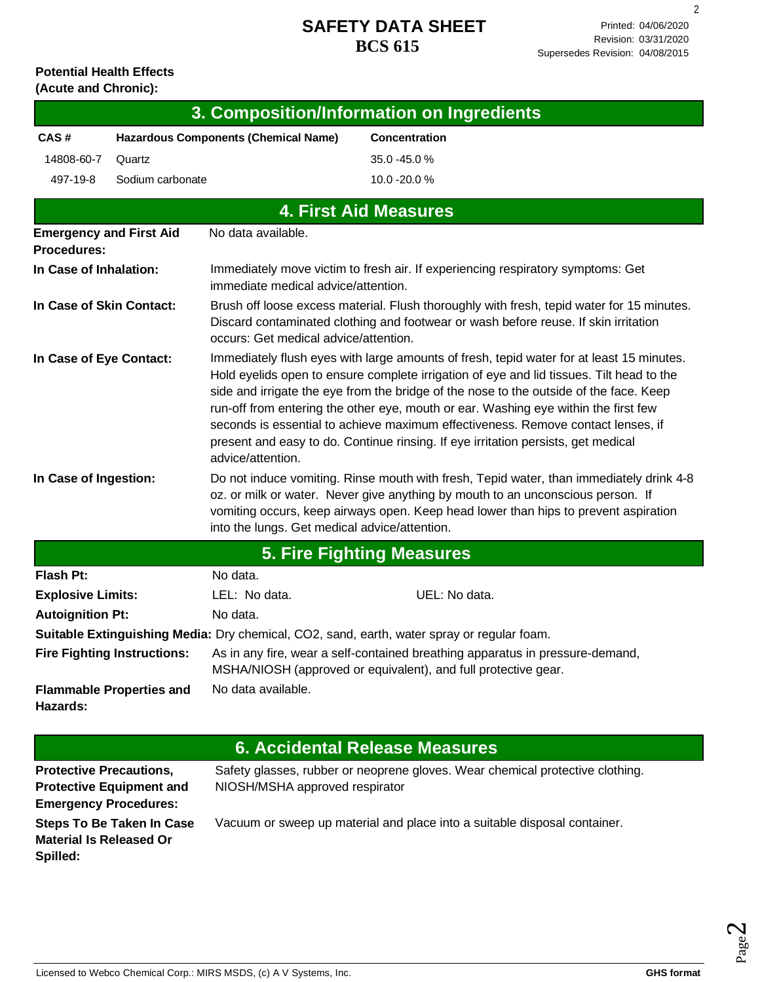2

# **Potential Health Effects**

| (Acute and Chronic):                                 |                                             |                                               |                                                                                                                                                                                                                                                                                                                                                                                                                                                                                                                                                |  |
|------------------------------------------------------|---------------------------------------------|-----------------------------------------------|------------------------------------------------------------------------------------------------------------------------------------------------------------------------------------------------------------------------------------------------------------------------------------------------------------------------------------------------------------------------------------------------------------------------------------------------------------------------------------------------------------------------------------------------|--|
|                                                      |                                             |                                               | 3. Composition/Information on Ingredients                                                                                                                                                                                                                                                                                                                                                                                                                                                                                                      |  |
| CAS#                                                 | <b>Hazardous Components (Chemical Name)</b> |                                               | <b>Concentration</b>                                                                                                                                                                                                                                                                                                                                                                                                                                                                                                                           |  |
| 14808-60-7                                           | Quartz                                      |                                               | 35.0 -45.0 %                                                                                                                                                                                                                                                                                                                                                                                                                                                                                                                                   |  |
| 497-19-8                                             | Sodium carbonate                            |                                               | 10.0 -20.0 %                                                                                                                                                                                                                                                                                                                                                                                                                                                                                                                                   |  |
|                                                      |                                             |                                               | <b>4. First Aid Measures</b>                                                                                                                                                                                                                                                                                                                                                                                                                                                                                                                   |  |
| <b>Emergency and First Aid</b><br><b>Procedures:</b> |                                             | No data available.                            |                                                                                                                                                                                                                                                                                                                                                                                                                                                                                                                                                |  |
| In Case of Inhalation:                               |                                             | immediate medical advice/attention.           | Immediately move victim to fresh air. If experiencing respiratory symptoms: Get                                                                                                                                                                                                                                                                                                                                                                                                                                                                |  |
| In Case of Skin Contact:                             |                                             | occurs: Get medical advice/attention.         | Brush off loose excess material. Flush thoroughly with fresh, tepid water for 15 minutes.<br>Discard contaminated clothing and footwear or wash before reuse. If skin irritation                                                                                                                                                                                                                                                                                                                                                               |  |
| In Case of Eye Contact:                              |                                             | advice/attention.                             | Immediately flush eyes with large amounts of fresh, tepid water for at least 15 minutes.<br>Hold eyelids open to ensure complete irrigation of eye and lid tissues. Tilt head to the<br>side and irrigate the eye from the bridge of the nose to the outside of the face. Keep<br>run-off from entering the other eye, mouth or ear. Washing eye within the first few<br>seconds is essential to achieve maximum effectiveness. Remove contact lenses, if<br>present and easy to do. Continue rinsing. If eye irritation persists, get medical |  |
| In Case of Ingestion:                                |                                             | into the lungs. Get medical advice/attention. | Do not induce vomiting. Rinse mouth with fresh, Tepid water, than immediately drink 4-8<br>oz. or milk or water. Never give anything by mouth to an unconscious person. If<br>vomiting occurs, keep airways open. Keep head lower than hips to prevent aspiration                                                                                                                                                                                                                                                                              |  |
|                                                      |                                             |                                               | <b>5. Fire Fighting Measures</b>                                                                                                                                                                                                                                                                                                                                                                                                                                                                                                               |  |
| <b>Flash Pt:</b>                                     |                                             | No data.                                      |                                                                                                                                                                                                                                                                                                                                                                                                                                                                                                                                                |  |
| <b>Explosive Limits:</b>                             |                                             | LEL: No data.                                 | UEL: No data.                                                                                                                                                                                                                                                                                                                                                                                                                                                                                                                                  |  |
| <b>Autoignition Pt:</b>                              |                                             | No data.                                      |                                                                                                                                                                                                                                                                                                                                                                                                                                                                                                                                                |  |
|                                                      |                                             |                                               | Suitable Extinguishing Media: Dry chemical, CO2, sand, earth, water spray or regular foam.                                                                                                                                                                                                                                                                                                                                                                                                                                                     |  |
|                                                      | <b>Fire Fighting Instructions:</b>          |                                               | As in any fire, wear a self-contained breathing apparatus in pressure-demand,<br>MSHA/NIOSH (approved or equivalent), and full protective gear.                                                                                                                                                                                                                                                                                                                                                                                                |  |
| Hazards:                                             | <b>Flammable Properties and</b>             | No data available.                            |                                                                                                                                                                                                                                                                                                                                                                                                                                                                                                                                                |  |

## **6. Accidental Release Measures**

| <b>Protective Precautions,</b>   | Safety glasses, rubber or neoprene gloves. Wear chemical protective clothing. |
|----------------------------------|-------------------------------------------------------------------------------|
| <b>Protective Equipment and</b>  | NIOSH/MSHA approved respirator                                                |
| <b>Emergency Procedures:</b>     |                                                                               |
| <b>Steps To Be Taken In Case</b> | Vacuum or sweep up material and place into a suitable disposal container.     |
| <b>Material Is Released Or</b>   |                                                                               |
| Spilled:                         |                                                                               |
|                                  |                                                                               |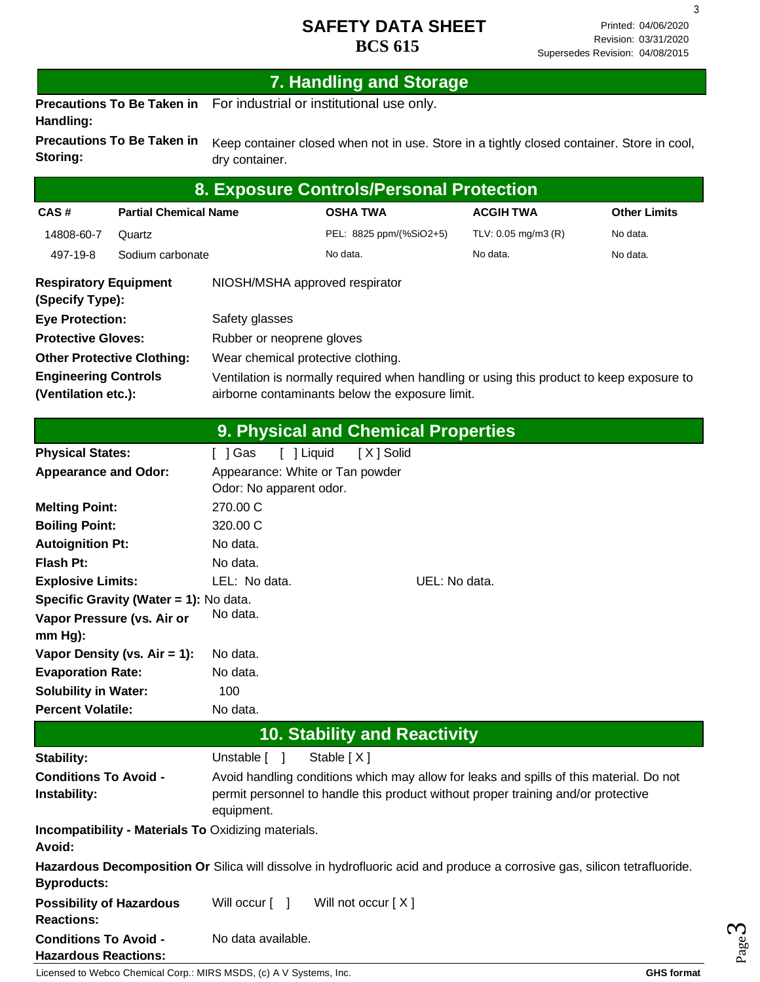3

### **7. Handling and Storage**

**Precautions To Be Taken in**  For industrial or institutional use only. **Handling:**

**Precautions To Be Taken in Storing:** Keep container closed when not in use. Store in a tightly closed container. Store in cool, dry container.

| 8. Exposure Controls/Personal Protection                                          |                              |                                                                                                                                             |                         |                     |                     |
|-----------------------------------------------------------------------------------|------------------------------|---------------------------------------------------------------------------------------------------------------------------------------------|-------------------------|---------------------|---------------------|
| CAS#                                                                              | <b>Partial Chemical Name</b> |                                                                                                                                             | <b>OSHA TWA</b>         | <b>ACGIH TWA</b>    | <b>Other Limits</b> |
| 14808-60-7                                                                        | Quartz                       |                                                                                                                                             | PEL: 8825 ppm/(%SiO2+5) | TLV: 0.05 mg/m3 (R) | No data.            |
| 497-19-8                                                                          | Sodium carbonate             |                                                                                                                                             | No data.                | No data.            | No data.            |
| <b>Respiratory Equipment</b><br>NIOSH/MSHA approved respirator<br>(Specify Type): |                              |                                                                                                                                             |                         |                     |                     |
| <b>Eye Protection:</b>                                                            |                              | Safety glasses                                                                                                                              |                         |                     |                     |
| <b>Protective Gloves:</b>                                                         |                              | Rubber or neoprene gloves                                                                                                                   |                         |                     |                     |
| <b>Other Protective Clothing:</b>                                                 |                              | Wear chemical protective clothing.                                                                                                          |                         |                     |                     |
| <b>Engineering Controls</b><br>(Ventilation etc.):                                |                              | Ventilation is normally required when handling or using this product to keep exposure to<br>airborne contaminants below the exposure limit. |                         |                     |                     |

|                                                             | 9. Physical and Chemical Properties                                                                                      |
|-------------------------------------------------------------|--------------------------------------------------------------------------------------------------------------------------|
| <b>Physical States:</b>                                     | [ ] Liquid<br>[ ] Gas<br>[X] Solid                                                                                       |
| <b>Appearance and Odor:</b>                                 | Appearance: White or Tan powder                                                                                          |
|                                                             | Odor: No apparent odor.                                                                                                  |
| <b>Melting Point:</b>                                       | 270.00 C                                                                                                                 |
| <b>Boiling Point:</b>                                       | 320.00 C                                                                                                                 |
| <b>Autoignition Pt:</b>                                     | No data.                                                                                                                 |
| <b>Flash Pt:</b>                                            | No data.                                                                                                                 |
| <b>Explosive Limits:</b>                                    | LEL: No data.<br>UEL: No data.                                                                                           |
| Specific Gravity (Water = 1): No data.                      |                                                                                                                          |
| Vapor Pressure (vs. Air or                                  | No data.                                                                                                                 |
| $mm Hg$ :                                                   |                                                                                                                          |
| Vapor Density (vs. $Air = 1$ ):                             | No data.                                                                                                                 |
| <b>Evaporation Rate:</b>                                    | No data.                                                                                                                 |
| <b>Solubility in Water:</b>                                 | 100                                                                                                                      |
| <b>Percent Volatile:</b>                                    | No data.                                                                                                                 |
|                                                             | <b>10. Stability and Reactivity</b>                                                                                      |
| <b>Stability:</b>                                           | Stable [X]<br>Unstable [ ]                                                                                               |
| <b>Conditions To Avoid -</b>                                | Avoid handling conditions which may allow for leaks and spills of this material. Do not                                  |
| Instability:                                                | permit personnel to handle this product without proper training and/or protective<br>equipment.                          |
| Incompatibility - Materials To Oxidizing materials.         |                                                                                                                          |
| Avoid:                                                      |                                                                                                                          |
| <b>Byproducts:</b>                                          | Hazardous Decomposition Or Silica will dissolve in hydrofluoric acid and produce a corrosive gas, silicon tetrafluoride. |
| <b>Possibility of Hazardous</b><br><b>Reactions:</b>        | Will not occur [X]<br>Will occur [ ]                                                                                     |
| <b>Conditions To Avoid -</b><br><b>Hazardous Reactions:</b> | No data available.                                                                                                       |

Licensed to Webco Chemical Corp.: MIRS MSDS, (c) A V Systems, Inc. **GHS** format **GHS** format